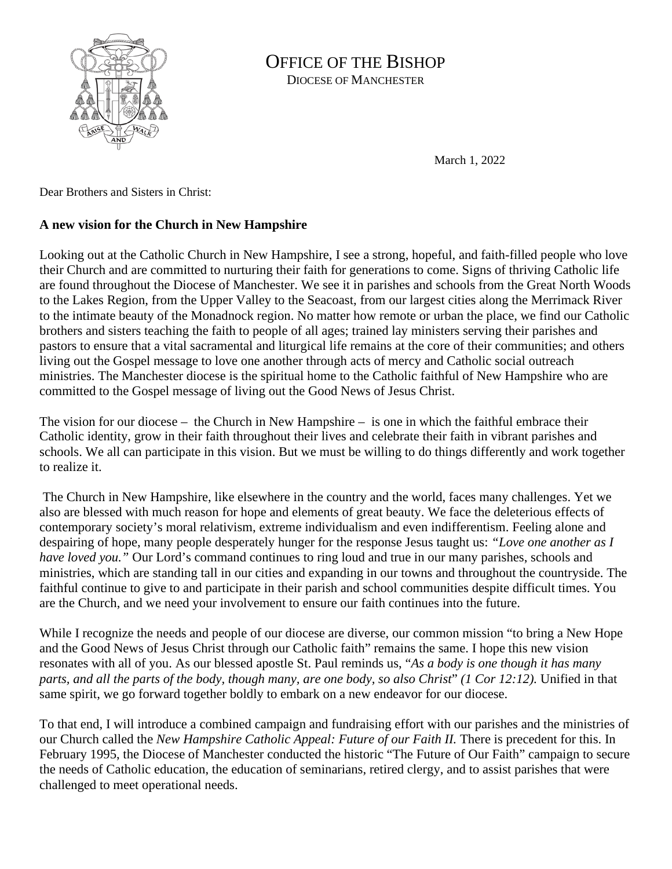

## OFFICE OF THE BISHOP DIOCESE OF MANCHESTER

March 1, 2022

Dear Brothers and Sisters in Christ:

## **A new vision for the Church in New Hampshire**

Looking out at the Catholic Church in New Hampshire, I see a strong, hopeful, and faith-filled people who love their Church and are committed to nurturing their faith for generations to come. Signs of thriving Catholic life are found throughout the Diocese of Manchester. We see it in parishes and schools from the Great North Woods to the Lakes Region, from the Upper Valley to the Seacoast, from our largest cities along the Merrimack River to the intimate beauty of the Monadnock region. No matter how remote or urban the place, we find our Catholic brothers and sisters teaching the faith to people of all ages; trained lay ministers serving their parishes and pastors to ensure that a vital sacramental and liturgical life remains at the core of their communities; and others living out the Gospel message to love one another through acts of mercy and Catholic social outreach ministries. The Manchester diocese is the spiritual home to the Catholic faithful of New Hampshire who are committed to the Gospel message of living out the Good News of Jesus Christ.

The vision for our diocese – the Church in New Hampshire – is one in which the faithful embrace their Catholic identity, grow in their faith throughout their lives and celebrate their faith in vibrant parishes and schools. We all can participate in this vision. But we must be willing to do things differently and work together to realize it.

The Church in New Hampshire, like elsewhere in the country and the world, faces many challenges. Yet we also are blessed with much reason for hope and elements of great beauty. We face the deleterious effects of contemporary society's moral relativism, extreme individualism and even indifferentism. Feeling alone and despairing of hope, many people desperately hunger for the response Jesus taught us: *"Love one another as I have loved you.*" Our Lord's command continues to ring loud and true in our many parishes, schools and ministries, which are standing tall in our cities and expanding in our towns and throughout the countryside. The faithful continue to give to and participate in their parish and school communities despite difficult times. You are the Church, and we need your involvement to ensure our faith continues into the future.

While I recognize the needs and people of our diocese are diverse, our common mission "to bring a New Hope and the Good News of Jesus Christ through our Catholic faith" remains the same. I hope this new vision resonates with all of you. As our blessed apostle St. Paul reminds us, "*As a body is one though it has many parts, and all the parts of the body, though many, are one body, so also Christ*" *(1 Cor 12:12).* Unified in that same spirit, we go forward together boldly to embark on a new endeavor for our diocese.

To that end, I will introduce a combined campaign and fundraising effort with our parishes and the ministries of our Church called the *New Hampshire Catholic Appeal: Future of our Faith II.* There is precedent for this. In February 1995, the Diocese of Manchester conducted the historic "The Future of Our Faith" campaign to secure the needs of Catholic education, the education of seminarians, retired clergy, and to assist parishes that were challenged to meet operational needs.